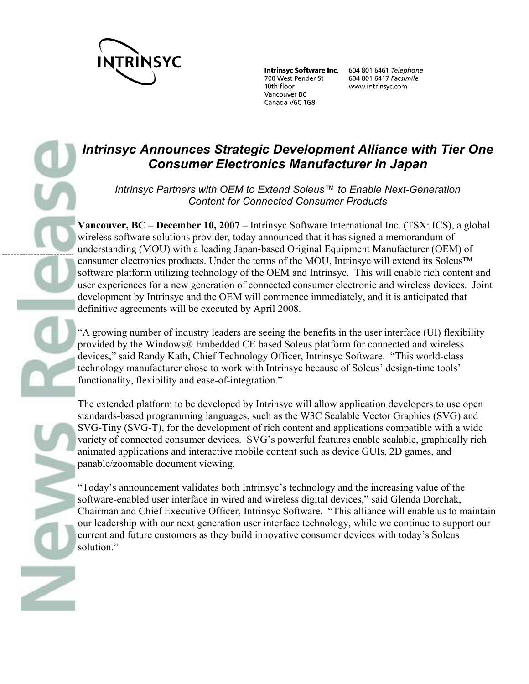

-------------------------

Intrinsyc Software Inc. 700 West Pender St 10th floor Vancouver BC Canada V6C 1G8

604 801 6461 Telephone 604 801 6417 Facsimile www.intrinsyc.com

# *Intrinsyc Announces Strategic Development Alliance with Tier One Consumer Electronics Manufacturer in Japan*

*Intrinsyc Partners with OEM to Extend Soleus*™ *to Enable Next-Generation Content for Connected Consumer Products*

**Vancouver, BC – December 10, 2007 –** Intrinsyc Software International Inc. (TSX: ICS), a global wireless software solutions provider, today announced that it has signed a memorandum of understanding (MOU) with a leading Japan-based Original Equipment Manufacturer (OEM) of consumer electronics products. Under the terms of the MOU, Intrinsyc will extend its Soleus™ software platform utilizing technology of the OEM and Intrinsyc. This will enable rich content and user experiences for a new generation of connected consumer electronic and wireless devices. Joint development by Intrinsyc and the OEM will commence immediately, and it is anticipated that definitive agreements will be executed by April 2008.

"A growing number of industry leaders are seeing the benefits in the user interface (UI) flexibility provided by the Windows® Embedded CE based Soleus platform for connected and wireless devices," said Randy Kath, Chief Technology Officer, Intrinsyc Software. "This world-class technology manufacturer chose to work with Intrinsyc because of Soleus' design-time tools' functionality, flexibility and ease-of-integration."

The extended platform to be developed by Intrinsyc will allow application developers to use open standards-based programming languages, such as the W3C Scalable Vector Graphics (SVG) and SVG-Tiny (SVG-T), for the development of rich content and applications compatible with a wide variety of connected consumer devices. SVG's powerful features enable scalable, graphically rich animated applications and interactive mobile content such as device GUIs, 2D games, and panable/zoomable document viewing.

"Today's announcement validates both Intrinsyc's technology and the increasing value of the software-enabled user interface in wired and wireless digital devices," said Glenda Dorchak, Chairman and Chief Executive Officer, Intrinsyc Software. "This alliance will enable us to maintain our leadership with our next generation user interface technology, while we continue to support our current and future customers as they build innovative consumer devices with today's Soleus solution."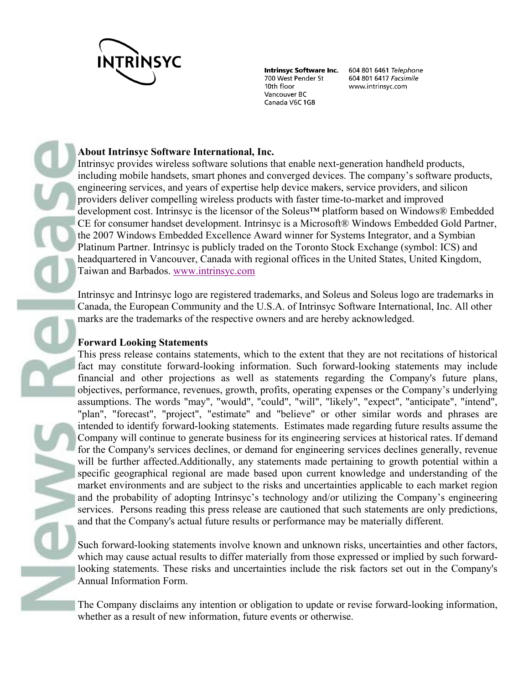

Intrinsyc Software Inc. 700 West Pender St 10th floor Vancouver BC Canada V6C 1G8

604 801 6461 Telephone 604 801 6417 Facsimile www.intrinsyc.com

### **About Intrinsyc Software International, Inc.**

Intrinsyc provides wireless software solutions that enable next-generation handheld products, including mobile handsets, smart phones and converged devices. The company's software products, engineering services, and years of expertise help device makers, service providers, and silicon providers deliver compelling wireless products with faster time-to-market and improved development cost. Intrinsyc is the licensor of the Soleus™ platform based on Windows® Embedded CE for consumer handset development. Intrinsyc is a Microsoft® Windows Embedded Gold Partner, the 2007 Windows Embedded Excellence Award winner for Systems Integrator, and a Symbian Platinum Partner. Intrinsyc is publicly traded on the Toronto Stock Exchange (symbol: ICS) and headquartered in Vancouver, Canada with regional offices in the United States, United Kingdom, Taiwan and Barbados. www.intrinsyc.com

Intrinsyc and Intrinsyc logo are registered trademarks, and Soleus and Soleus logo are trademarks in Canada, the European Community and the U.S.A. of Intrinsyc Software International, Inc. All other marks are the trademarks of the respective owners and are hereby acknowledged.

#### **Forward Looking Statements**

This press release contains statements, which to the extent that they are not recitations of historical fact may constitute forward-looking information. Such forward-looking statements may include financial and other projections as well as statements regarding the Company's future plans, objectives, performance, revenues, growth, profits, operating expenses or the Company's underlying assumptions. The words "may", "would", "could", "will", "likely", "expect", "anticipate", "intend", "plan", "forecast", "project", "estimate" and "believe" or other similar words and phrases are intended to identify forward-looking statements. Estimates made regarding future results assume the Company will continue to generate business for its engineering services at historical rates. If demand for the Company's services declines, or demand for engineering services declines generally, revenue will be further affected.Additionally, any statements made pertaining to growth potential within a specific geographical regional are made based upon current knowledge and understanding of the market environments and are subject to the risks and uncertainties applicable to each market region and the probability of adopting Intrinsyc's technology and/or utilizing the Company's engineering services. Persons reading this press release are cautioned that such statements are only predictions, and that the Company's actual future results or performance may be materially different.

Such forward-looking statements involve known and unknown risks, uncertainties and other factors, which may cause actual results to differ materially from those expressed or implied by such forwardlooking statements. These risks and uncertainties include the risk factors set out in the Company's Annual Information Form.

The Company disclaims any intention or obligation to update or revise forward-looking information, whether as a result of new information, future events or otherwise.